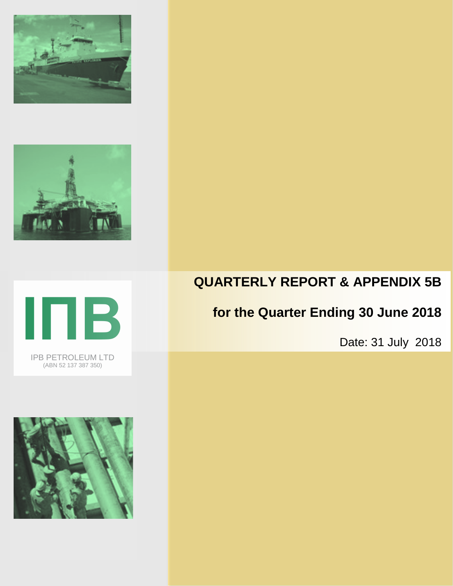





IPB PETROLEUM LTD (ABN 52 137 387 350)



# **QUARTERLY REPORT & APPENDIX 5B**

# **for the Quarter Ending 30 June 2018**

Date: 31 July 2018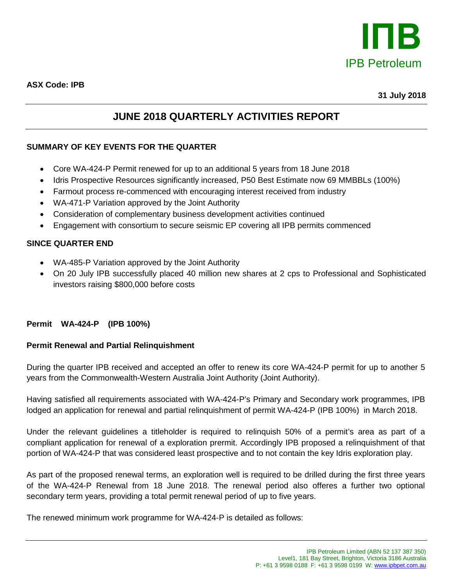

**31 July 2018**

# **JUNE 2018 QUARTERLY ACTIVITIES REPORT**

# **SUMMARY OF KEY EVENTS FOR THE QUARTER**

- Core WA-424-P Permit renewed for up to an additional 5 years from 18 June 2018
- Idris Prospective Resources significantly increased, P50 Best Estimate now 69 MMBBLs (100%)
- Farmout process re-commenced with encouraging interest received from industry
- WA-471-P Variation approved by the Joint Authority
- Consideration of complementary business development activities continued
- Engagement with consortium to secure seismic EP covering all IPB permits commenced

## **SINCE QUARTER END**

- WA-485-P Variation approved by the Joint Authority
- On 20 July IPB successfully placed 40 million new shares at 2 cps to Professional and Sophisticated investors raising \$800,000 before costs

#### **Permit WA-424-P (IPB 100%)**

#### **Permit Renewal and Partial Relinquishment**

During the quarter IPB received and accepted an offer to renew its core WA-424-P permit for up to another 5 years from the Commonwealth-Western Australia Joint Authority (Joint Authority).

Having satisfied all requirements associated with WA-424-P's Primary and Secondary work programmes, IPB lodged an application for renewal and partial relinquishment of permit WA-424-P (IPB 100%) in March 2018.

Under the relevant guidelines a titleholder is required to relinquish 50% of a permit's area as part of a compliant application for renewal of a exploration prermit. Accordingly IPB proposed a relinquishment of that portion of WA-424-P that was considered least prospective and to not contain the key Idris exploration play.

As part of the proposed renewal terms, an exploration well is required to be drilled during the first three years of the WA-424-P Renewal from 18 June 2018. The renewal period also offeres a further two optional secondary term years, providing a total permit renewal period of up to five years.

The renewed minimum work programme for WA-424-P is detailed as follows: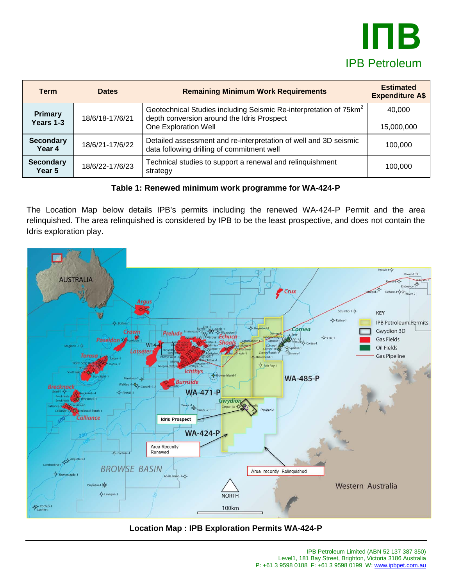

| <b>Term</b>                 | <b>Dates</b>    | <b>Remaining Minimum Work Requirements</b>                                                                                                          | <b>Estimated</b><br><b>Expenditure A\$</b> |
|-----------------------------|-----------------|-----------------------------------------------------------------------------------------------------------------------------------------------------|--------------------------------------------|
| <b>Primary</b><br>Years 1-3 | 18/6/18-17/6/21 | Geotechnical Studies including Seismic Re-interpretation of 75km <sup>2</sup><br>depth conversion around the Idris Prospect<br>One Exploration Well | 40,000<br>15,000,000                       |
| <b>Secondary</b><br>Year 4  | 18/6/21-17/6/22 | Detailed assessment and re-interpretation of well and 3D seismic<br>data following drilling of commitment well                                      | 100.000                                    |
| <b>Secondary</b><br>Year 5  | 18/6/22-17/6/23 | Technical studies to support a renewal and relinquishment<br>strategy                                                                               | 100.000                                    |

**Table 1: Renewed minimum work programme for WA-424-P** 

The Location Map below details IPB's permits including the renewed WA-424-P Permit and the area relinquished. The area relinquished is considered by IPB to be the least prospective, and does not contain the Idris exploration play.



# **Location Map : IPB Exploration Permits WA-424-P**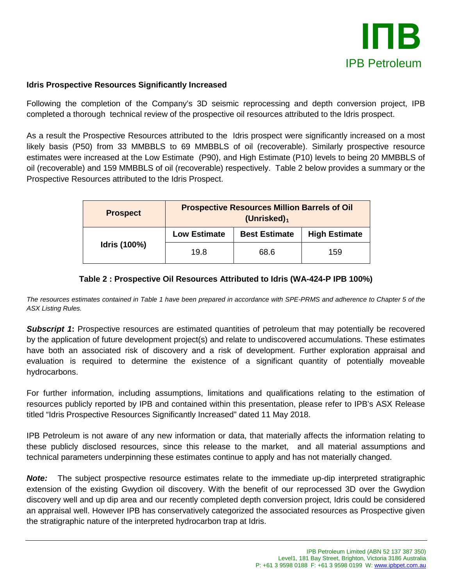

#### **Idris Prospective Resources Significantly Increased**

Following the completion of the Company's 3D seismic reprocessing and depth conversion project, IPB completed a thorough technical review of the prospective oil resources attributed to the Idris prospect.

As a result the Prospective Resources attributed to the Idris prospect were significantly increased on a most likely basis (P50) from 33 MMBBLS to 69 MMBBLS of oil (recoverable). Similarly prospective resource estimates were increased at the Low Estimate (P90), and High Estimate (P10) levels to being 20 MMBBLS of oil (recoverable) and 159 MMBBLS of oil (recoverable) respectively. Table 2 below provides a summary or the Prospective Resources attributed to the Idris Prospect.

| <b>Prospect</b> | <b>Prospective Resources Million Barrels of Oil</b><br>(Unrisked) $_1$ |                      |                      |
|-----------------|------------------------------------------------------------------------|----------------------|----------------------|
|                 | <b>Low Estimate</b>                                                    | <b>Best Estimate</b> | <b>High Estimate</b> |
| Idris (100%)    | 19.8                                                                   | 68.6                 | 159                  |

## **Table 2 : Prospective Oil Resources Attributed to Idris (WA-424-P IPB 100%)**

*The resources estimates contained in Table 1 have been prepared in accordance with SPE-PRMS and adherence to Chapter 5 of the ASX Listing Rules.*

**Subscript 1:** Prospective resources are estimated quantities of petroleum that may potentially be recovered by the application of future development project(s) and relate to undiscovered accumulations. These estimates have both an associated risk of discovery and a risk of development. Further exploration appraisal and evaluation is required to determine the existence of a significant quantity of potentially moveable hydrocarbons.

For further information, including assumptions, limitations and qualifications relating to the estimation of resources publicly reported by IPB and contained within this presentation, please refer to IPB's ASX Release titled "Idris Prospective Resources Significantly Increased" dated 11 May 2018.

IPB Petroleum is not aware of any new information or data, that materially affects the information relating to these publicly disclosed resources, since this release to the market, and all material assumptions and technical parameters underpinning these estimates continue to apply and has not materially changed.

*Note:* The subject prospective resource estimates relate to the immediate up-dip interpreted stratigraphic extension of the existing Gwydion oil discovery. With the benefit of our reprocessed 3D over the Gwydion discovery well and up dip area and our recently completed depth conversion project, Idris could be considered an appraisal well. However IPB has conservatively categorized the associated resources as Prospective given the stratigraphic nature of the interpreted hydrocarbon trap at Idris.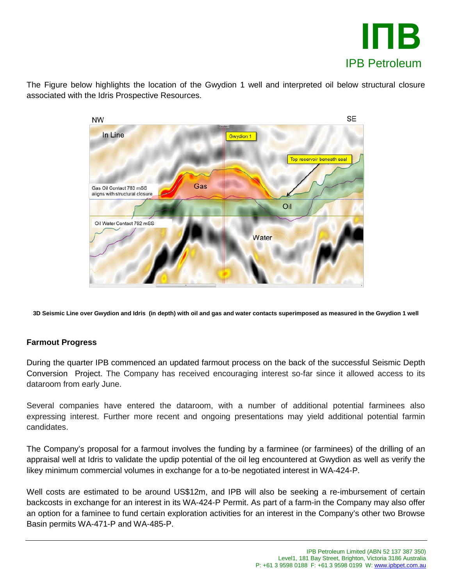

The Figure below highlights the location of the Gwydion 1 well and interpreted oil below structural closure associated with the Idris Prospective Resources.



**3D Seismic Line over Gwydion and Idris (in depth) with oil and gas and water contacts superimposed as measured in the Gwydion 1 well**

#### **Farmout Progress**

During the quarter IPB commenced an updated farmout process on the back of the successful Seismic Depth Conversion Project. The Company has received encouraging interest so-far since it allowed access to its dataroom from early June.

Several companies have entered the dataroom, with a number of additional potential farminees also expressing interest. Further more recent and ongoing presentations may yield additional potential farmin candidates.

The Company's proposal for a farmout involves the funding by a farminee (or farminees) of the drilling of an appraisal well at Idris to validate the updip potential of the oil leg encountered at Gwydion as well as verify the likey minimum commercial volumes in exchange for a to-be negotiated interest in WA-424-P.

Well costs are estimated to be around US\$12m, and IPB will also be seeking a re-imbursement of certain backcosts in exchange for an interest in its WA-424-P Permit. As part of a farm-in the Company may also offer an option for a faminee to fund certain exploration activities for an interest in the Company's other two Browse Basin permits WA-471-P and WA-485-P.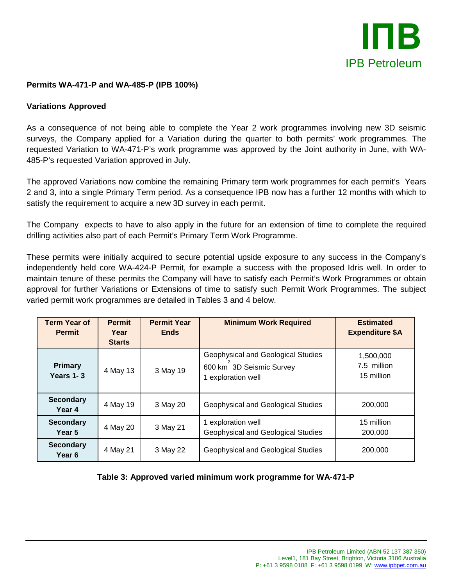

#### **Permits WA-471-P and WA-485-P (IPB 100%)**

#### **Variations Approved**

As a consequence of not being able to complete the Year 2 work programmes involving new 3D seismic surveys, the Company applied for a Variation during the quarter to both permits' work programmes. The requested Variation to WA-471-P's work programme was approved by the Joint authority in June, with WA-485-P's requested Variation approved in July.

The approved Variations now combine the remaining Primary term work programmes for each permit's Years 2 and 3, into a single Primary Term period. As a consequence IPB now has a further 12 months with which to satisfy the requirement to acquire a new 3D survey in each permit.

The Company expects to have to also apply in the future for an extension of time to complete the required drilling activities also part of each Permit's Primary Term Work Programme.

These permits were initially acquired to secure potential upside exposure to any success in the Company's independently held core WA-424-P Permit, for example a success with the proposed Idris well. In order to maintain tenure of these permits the Company will have to satisfy each Permit's Work Programmes or obtain approval for further Variations or Extensions of time to satisfy such Permit Work Programmes. The subject varied permit work programmes are detailed in Tables 3 and 4 below.

| <b>Term Year of</b><br><b>Permit</b> | <b>Permit</b><br>Year<br><b>Starts</b> | <b>Permit Year</b><br><b>Ends</b> | <b>Minimum Work Required</b>                                                       | <b>Estimated</b><br><b>Expenditure \$A</b> |
|--------------------------------------|----------------------------------------|-----------------------------------|------------------------------------------------------------------------------------|--------------------------------------------|
| <b>Primary</b><br>Years 1-3          | 4 May 13                               | 3 May 19                          | Geophysical and Geological Studies<br>600 km 3D Seismic Survey<br>exploration well | 1,500,000<br>7.5 million<br>15 million     |
| <b>Secondary</b><br>Year 4           | 4 May 19                               | 3 May 20                          | <b>Geophysical and Geological Studies</b>                                          | 200,000                                    |
| <b>Secondary</b><br>Year 5           | 4 May 20                               | 3 May 21                          | 1 exploration well<br>Geophysical and Geological Studies                           | 15 million<br>200,000                      |
| <b>Secondary</b><br>Year 6           | 4 May 21                               | 3 May 22                          | Geophysical and Geological Studies                                                 | 200,000                                    |

**Table 3: Approved varied minimum work programme for WA-471-P**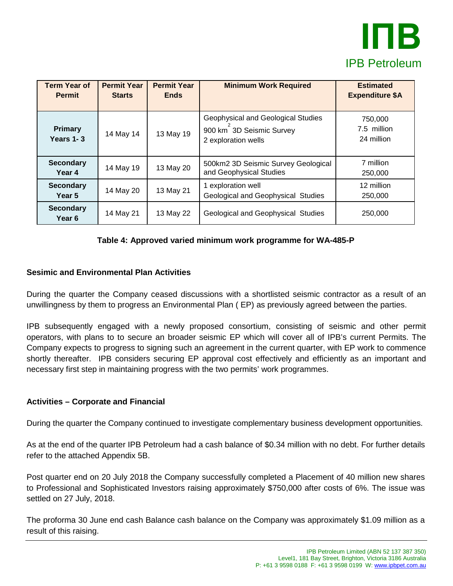

| <b>Term Year of</b><br><b>Permit</b> | <b>Permit Year</b><br><b>Starts</b> | <b>Permit Year</b><br><b>Ends</b> | <b>Minimum Work Required</b>                                                          | <b>Estimated</b><br><b>Expenditure \$A</b> |
|--------------------------------------|-------------------------------------|-----------------------------------|---------------------------------------------------------------------------------------|--------------------------------------------|
| <b>Primary</b><br>Years 1-3          | 14 May 14                           | 13 May 19                         | Geophysical and Geological Studies<br>900 km 3D Seismic Survey<br>2 exploration wells | 750,000<br>7.5 million<br>24 million       |
| <b>Secondary</b><br>Year 4           | 14 May 19                           | 13 May 20                         | 500km2 3D Seismic Survey Geological<br>and Geophysical Studies                        | 7 million<br>250,000                       |
| <b>Secondary</b><br>Year 5           | 14 May 20                           | 13 May 21                         | 1 exploration well<br>Geological and Geophysical Studies                              | 12 million<br>250,000                      |
| <b>Secondary</b><br>Year 6           | 14 May 21                           | 13 May 22                         | <b>Geological and Geophysical Studies</b>                                             | 250,000                                    |

## **Table 4: Approved varied minimum work programme for WA-485-P**

#### **Sesimic and Environmental Plan Activities**

During the quarter the Company ceased discussions with a shortlisted seismic contractor as a result of an unwillingness by them to progress an Environmental Plan ( EP) as previously agreed between the parties.

IPB subsequently engaged with a newly proposed consortium, consisting of seismic and other permit operators, with plans to to secure an broader seismic EP which will cover all of IPB's current Permits. The Company expects to progress to signing such an agreement in the current quarter, with EP work to commence shortly thereafter. IPB considers securing EP approval cost effectively and efficiently as an important and necessary first step in maintaining progress with the two permits' work programmes.

#### **Activities – Corporate and Financial**

During the quarter the Company continued to investigate complementary business development opportunities.

As at the end of the quarter IPB Petroleum had a cash balance of \$0.34 million with no debt. For further details refer to the attached Appendix 5B.

Post quarter end on 20 July 2018 the Company successfully completed a Placement of 40 million new shares to Professional and Sophisticated Investors raising approximately \$750,000 after costs of 6%. The issue was settled on 27 July, 2018.

The proforma 30 June end cash Balance cash balance on the Company was approximately \$1.09 million as a result of this raising.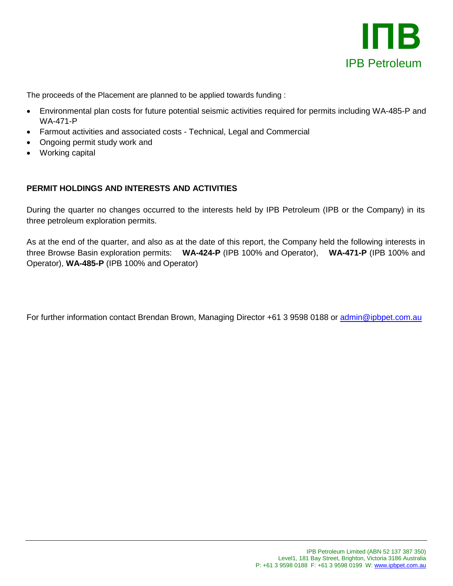

The proceeds of the Placement are planned to be applied towards funding :

- Environmental plan costs for future potential seismic activities required for permits including WA-485-P and WA-471-P
- Farmout activities and associated costs Technical, Legal and Commercial
- Ongoing permit study work and
- Working capital

## **PERMIT HOLDINGS AND INTERESTS AND ACTIVITIES**

During the quarter no changes occurred to the interests held by IPB Petroleum (IPB or the Company) in its three petroleum exploration permits.

As at the end of the quarter, and also as at the date of this report, the Company held the following interests in three Browse Basin exploration permits: **WA-424-P** (IPB 100% and Operator), **WA-471-P** (IPB 100% and Operator), **WA-485-P** (IPB 100% and Operator)

For further information contact Brendan Brown, Managing Director +61 3 9598 0188 or [admin@ipbpet.com.au](mailto:admin@ipbpet.com.au)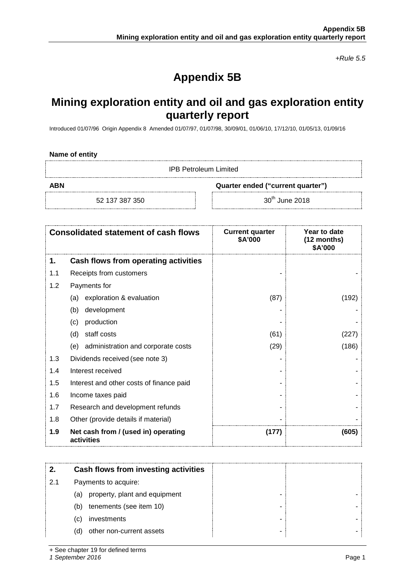*+Rule 5.5*

# **Appendix 5B**

# **Mining exploration entity and oil and gas exploration entity quarterly report**

Introduced 01/07/96 Origin Appendix 8 Amended 01/07/97, 01/07/98, 30/09/01, 01/06/10, 17/12/10, 01/05/13, 01/09/16

| Name of entity |  |  |
|----------------|--|--|
|----------------|--|--|

IPB Petroleum Limited

**ABN Quarter ended ("current quarter")**

52 137 387 350 30<sup>th</sup> June 2018

|     | <b>Consolidated statement of cash flows</b>       | <b>Current quarter</b><br>\$A'000 | Year to date<br>(12 months)<br>\$A'000 |
|-----|---------------------------------------------------|-----------------------------------|----------------------------------------|
| 1.  | Cash flows from operating activities              |                                   |                                        |
| 1.1 | Receipts from customers                           |                                   |                                        |
| 1.2 | Payments for                                      |                                   |                                        |
|     | exploration & evaluation<br>(a)                   | (87)                              | (192)                                  |
|     | development<br>(b)                                |                                   |                                        |
|     | production<br>(c)                                 |                                   |                                        |
|     | staff costs<br>(d)                                | (61)                              | (227)                                  |
|     | administration and corporate costs<br>(e)         | (29)                              | (186)                                  |
| 1.3 | Dividends received (see note 3)                   |                                   |                                        |
| 1.4 | Interest received                                 |                                   |                                        |
| 1.5 | Interest and other costs of finance paid          |                                   |                                        |
| 1.6 | Income taxes paid                                 |                                   |                                        |
| 1.7 | Research and development refunds                  |                                   |                                        |
| 1.8 | Other (provide details if material)               |                                   |                                        |
| 1.9 | Net cash from / (used in) operating<br>activities | (177)                             | (605)                                  |

|     | Cash flows from investing activities |  |
|-----|--------------------------------------|--|
| 2.1 | Payments to acquire:                 |  |
|     | property, plant and equipment<br>(a) |  |
|     | tenements (see item 10)<br>(b)       |  |
|     | investments<br>(C)                   |  |
|     | other non-current assets<br>(d)      |  |

+ See chapter 19 for defined terms

*1 September 2016* Page 1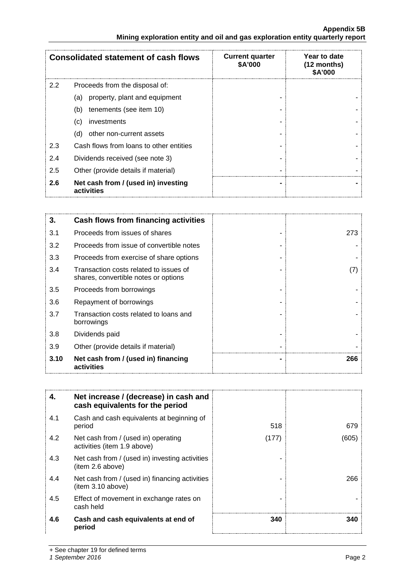#### **Appendix 5B Mining exploration entity and oil and gas exploration entity quarterly report**

|               | <b>Consolidated statement of cash flows</b>       | <b>Current quarter</b><br>\$A'000 | Year to date<br>$(12$ months)<br>\$A'000 |
|---------------|---------------------------------------------------|-----------------------------------|------------------------------------------|
| $2.2^{\circ}$ | Proceeds from the disposal of:                    |                                   |                                          |
|               | property, plant and equipment<br>(a)              |                                   |                                          |
|               | tenements (see item 10)<br>(b)                    |                                   |                                          |
|               | investments<br>(C)                                |                                   |                                          |
|               | other non-current assets<br>(d)                   |                                   |                                          |
| 2.3           | Cash flows from loans to other entities           |                                   |                                          |
| 2.4           | Dividends received (see note 3)                   |                                   |                                          |
| 2.5           | Other (provide details if material)               |                                   |                                          |
| 2.6           | Net cash from / (used in) investing<br>activities |                                   |                                          |

| 3.   | Cash flows from financing activities                                           |     |
|------|--------------------------------------------------------------------------------|-----|
| 3.1  | Proceeds from issues of shares                                                 | 273 |
| 3.2  | Proceeds from issue of convertible notes                                       |     |
| 3.3  | Proceeds from exercise of share options                                        |     |
| 3.4  | Transaction costs related to issues of<br>shares, convertible notes or options | (7) |
| 3.5  | Proceeds from borrowings                                                       |     |
| 3.6  | Repayment of borrowings                                                        |     |
| 3.7  | Transaction costs related to loans and<br>borrowings                           |     |
| 3.8  | Dividends paid                                                                 |     |
| 3.9  | Other (provide details if material)                                            |     |
| 3.10 | Net cash from / (used in) financing<br>activities                              | 266 |

| 4.  | Net increase / (decrease) in cash and<br>cash equivalents for the period |       |       |
|-----|--------------------------------------------------------------------------|-------|-------|
| 4.1 | Cash and cash equivalents at beginning of<br>period                      | 518   | 679   |
| 4.2 | Net cash from / (used in) operating<br>activities (item 1.9 above)       | (177) | (605) |
| 4.3 | Net cash from / (used in) investing activities<br>(item 2.6 above)       |       |       |
| 4.4 | Net cash from / (used in) financing activities<br>(item 3.10 above)      |       | 266   |
| 4.5 | Effect of movement in exchange rates on<br>cash held                     |       |       |
| 4.6 | Cash and cash equivalents at end of<br>period                            | 340   | 340   |

+ See chapter 19 for defined terms

*1 September 2016* Page 2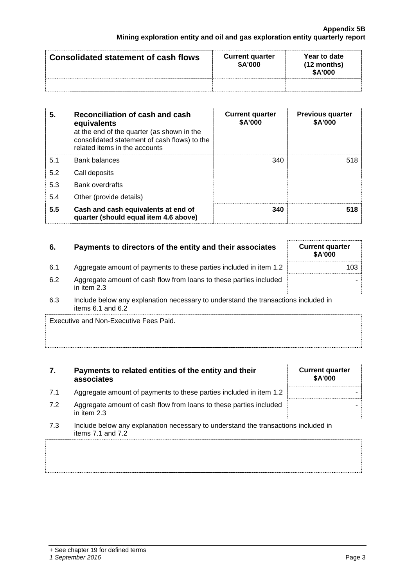| Consolidated statement of cash flows | <b>Current quarter</b><br>\$A'000 | Year to date<br>$(12$ months)<br>\$A'000 |
|--------------------------------------|-----------------------------------|------------------------------------------|
|                                      |                                   |                                          |

| 5.  | Reconciliation of cash and cash<br>equivalents<br>at the end of the quarter (as shown in the<br>consolidated statement of cash flows) to the<br>related items in the accounts | <b>Current quarter</b><br>\$A'000 | <b>Previous quarter</b><br>\$A'000 |
|-----|-------------------------------------------------------------------------------------------------------------------------------------------------------------------------------|-----------------------------------|------------------------------------|
| 5.1 | <b>Bank balances</b>                                                                                                                                                          | 340                               | 518                                |
| 5.2 | Call deposits                                                                                                                                                                 |                                   |                                    |
| 5.3 | <b>Bank overdrafts</b>                                                                                                                                                        |                                   |                                    |
| 5.4 | Other (provide details)                                                                                                                                                       |                                   |                                    |
| 5.5 | Cash and cash equivalents at end of<br>quarter (should equal item 4.6 above)                                                                                                  | 340                               |                                    |

| -6. | Payments to directors of the entity and their associates                          | <b>Current quarter</b><br><b>\$A'000</b> |
|-----|-----------------------------------------------------------------------------------|------------------------------------------|
| 6.1 | Aggregate amount of payments to these parties included in item 1.2                | 103                                      |
| 6.2 | Aggregate amount of cash flow from loans to these parties included<br>in item 2.3 |                                          |

6.3 Include below any explanation necessary to understand the transactions included in items 6.1 and 6.2

Executive and Non-Executive Fees Paid.

#### **7. Payments to related entities of the entity and their associates**

- 7.1 Aggregate amount of payments to these parties included in item 1.2
- 7.2 Aggregate amount of cash flow from loans to these parties included in item 2.3
- 7.3 Include below any explanation necessary to understand the transactions included in items 7.1 and 7.2

| <b>Current quarter</b><br>\$A'000 |  |
|-----------------------------------|--|
|                                   |  |
|                                   |  |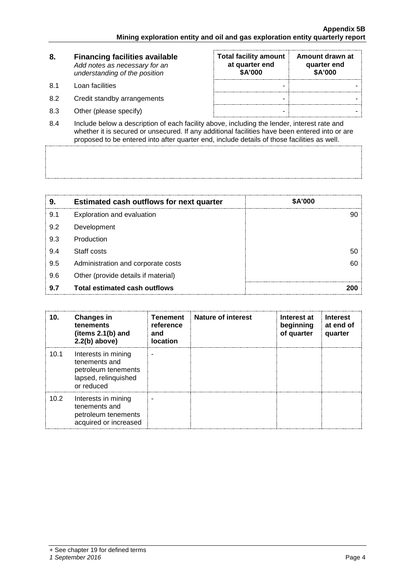| 8.   | <b>Financing facilities available</b><br>Add notes as necessary for an<br>understanding of the position | <b>Total facility amount</b><br>at quarter end<br>\$A'000 | Amount drawn at<br>quarter end<br>\$A'000 |
|------|---------------------------------------------------------------------------------------------------------|-----------------------------------------------------------|-------------------------------------------|
| .8.1 | Loan facilities                                                                                         |                                                           |                                           |
| 8.2  | Credit standby arrangements                                                                             |                                                           |                                           |
| 8.3  | Other (please specify)                                                                                  |                                                           |                                           |

8.4 Include below a description of each facility above, including the lender, interest rate and whether it is secured or unsecured. If any additional facilities have been entered into or are proposed to be entered into after quarter end, include details of those facilities as well.

| 9.  | <b>Estimated cash outflows for next quarter</b> | <b>\$A'000</b> |
|-----|-------------------------------------------------|----------------|
| 9.1 | Exploration and evaluation                      |                |
| 9.2 | Development                                     |                |
| 9.3 | Production                                      |                |
| 9.4 | Staff costs                                     | 50             |
| 9.5 | Administration and corporate costs              |                |
| 9.6 | Other (provide details if material)             |                |
| 9.7 | <b>Total estimated cash outflows</b>            |                |

| 10.  | <b>Changes in</b><br>tenements<br>(items $2.1(b)$ and<br>$2.2(b)$ above)                          | <b>Tenement</b><br>reference<br>and<br><b>location</b> | <b>Nature of interest</b> | Interest at<br>beginning<br>of quarter | <b>Interest</b><br>at end of<br>quarter |
|------|---------------------------------------------------------------------------------------------------|--------------------------------------------------------|---------------------------|----------------------------------------|-----------------------------------------|
| 10.1 | Interests in mining<br>tenements and<br>petroleum tenements<br>lapsed, relinquished<br>or reduced |                                                        |                           |                                        |                                         |
| 10.2 | Interests in mining<br>tenements and<br>petroleum tenements<br>acquired or increased              |                                                        |                           |                                        |                                         |